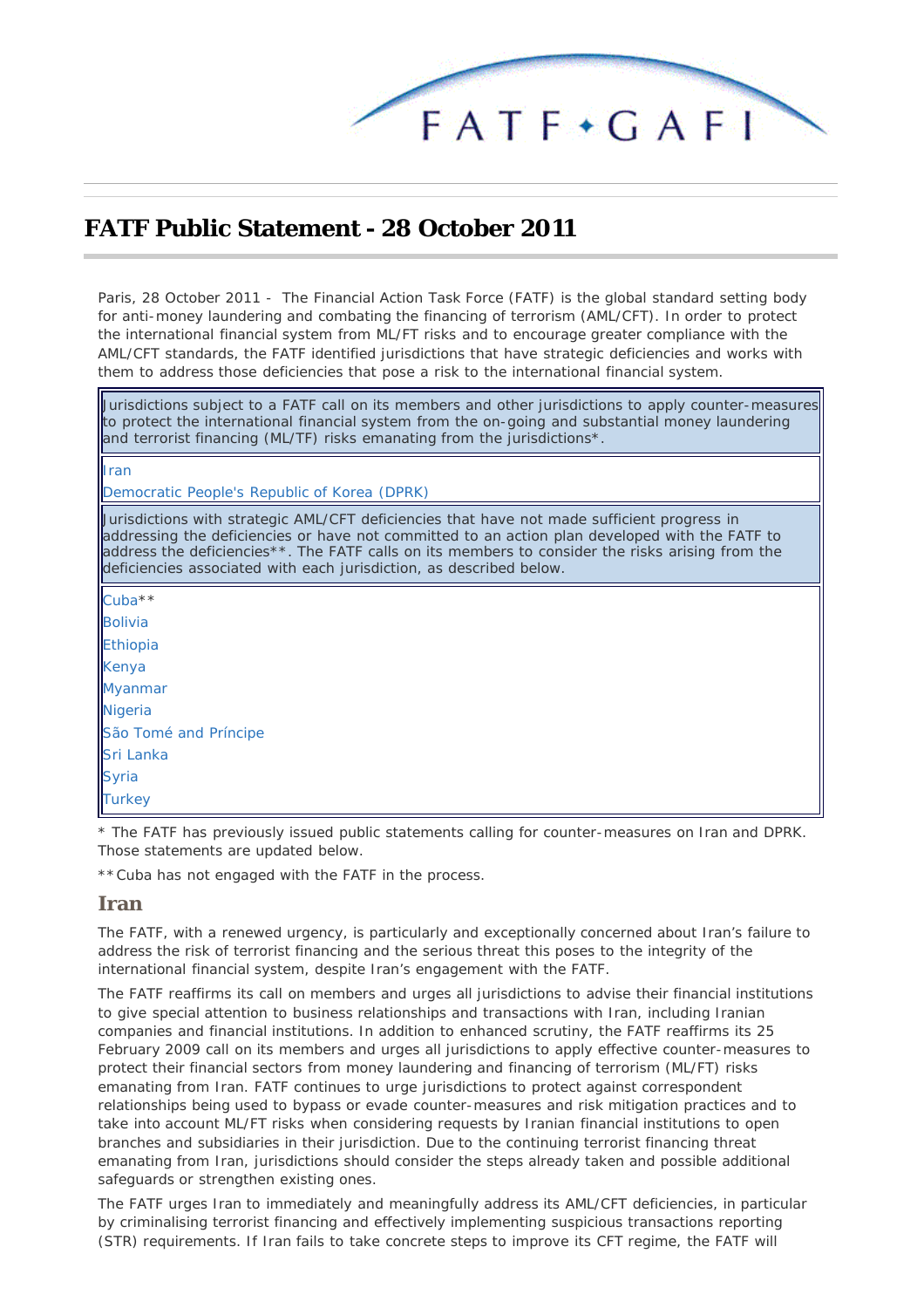

# <span id="page-0-1"></span>**FATF Public Statement - 28 October 2011**

*Paris, 28 October 2011 -* The Financial Action Task Force (FATF) is the global standard setting body for anti-money laundering and combating the financing of terrorism (AML/CFT). In order to protect the international financial system from ML/FT risks and to encourage greater compliance with the AML/CFT standards, the FATF identified jurisdictions that have strategic deficiencies and works with them to address those deficiencies that pose a risk to the international financial system.

Jurisdictions subject to a FATF call on its members and other jurisdictions to apply counter-measures to protect the international financial system from the on-going and substantial money laundering and terrorist financing (ML/TF) risks emanating from the jurisdictions\*.

#### [Iran](#page-0-0)

[Democratic People's Republic of Korea \(DPRK\)](#page-1-0)

Jurisdictions with strategic AML/CFT deficiencies that have not made sufficient progress in addressing the deficiencies or have not committed to an action plan developed with the FATF to address the deficiencies\*\*. The FATF calls on its members to consider the risks arising from the deficiencies associated with each jurisdiction, as described below.

| Cuba <sup>**</sup>    |
|-----------------------|
| <b>Bolivia</b>        |
| Ethiopia              |
| Kenya                 |
| <b>Myanmar</b>        |
| Nigeria               |
| São Tomé and Príncipe |
| Sri Lanka             |
| <b>Syria</b>          |
| <b>Turkey</b>         |
|                       |

*\* The FATF has previously issued public statements calling for counter-measures on Iran and DPRK. Those statements are updated below.*

\*\**Cuba has not engaged with the FATF in the process.*

#### <span id="page-0-0"></span>**Iran**

The FATF, with a renewed urgency, is particularly and exceptionally concerned about Iran's failure to address the risk of terrorist financing and the serious threat this poses to the integrity of the international financial system, despite Iran's engagement with the FATF.

The FATF reaffirms its call on members and urges all jurisdictions to advise their financial institutions to give special attention to business relationships and transactions with Iran, including Iranian companies and financial institutions. In addition to enhanced scrutiny, the FATF reaffirms its 25 February 2009 call on its members and urges all jurisdictions to apply effective counter-measures to protect their financial sectors from money laundering and financing of terrorism (ML/FT) risks emanating from Iran. FATF continues to urge jurisdictions to protect against correspondent relationships being used to bypass or evade counter-measures and risk mitigation practices and to take into account ML/FT risks when considering requests by Iranian financial institutions to open branches and subsidiaries in their jurisdiction. Due to the continuing terrorist financing threat emanating from Iran, jurisdictions should consider the steps already taken and possible additional safeguards or strengthen existing ones.

The FATF urges Iran to immediately and meaningfully address its AML/CFT deficiencies, in particular by criminalising terrorist financing and effectively implementing suspicious transactions reporting (STR) requirements. If Iran fails to take concrete steps to improve its CFT regime, the FATF will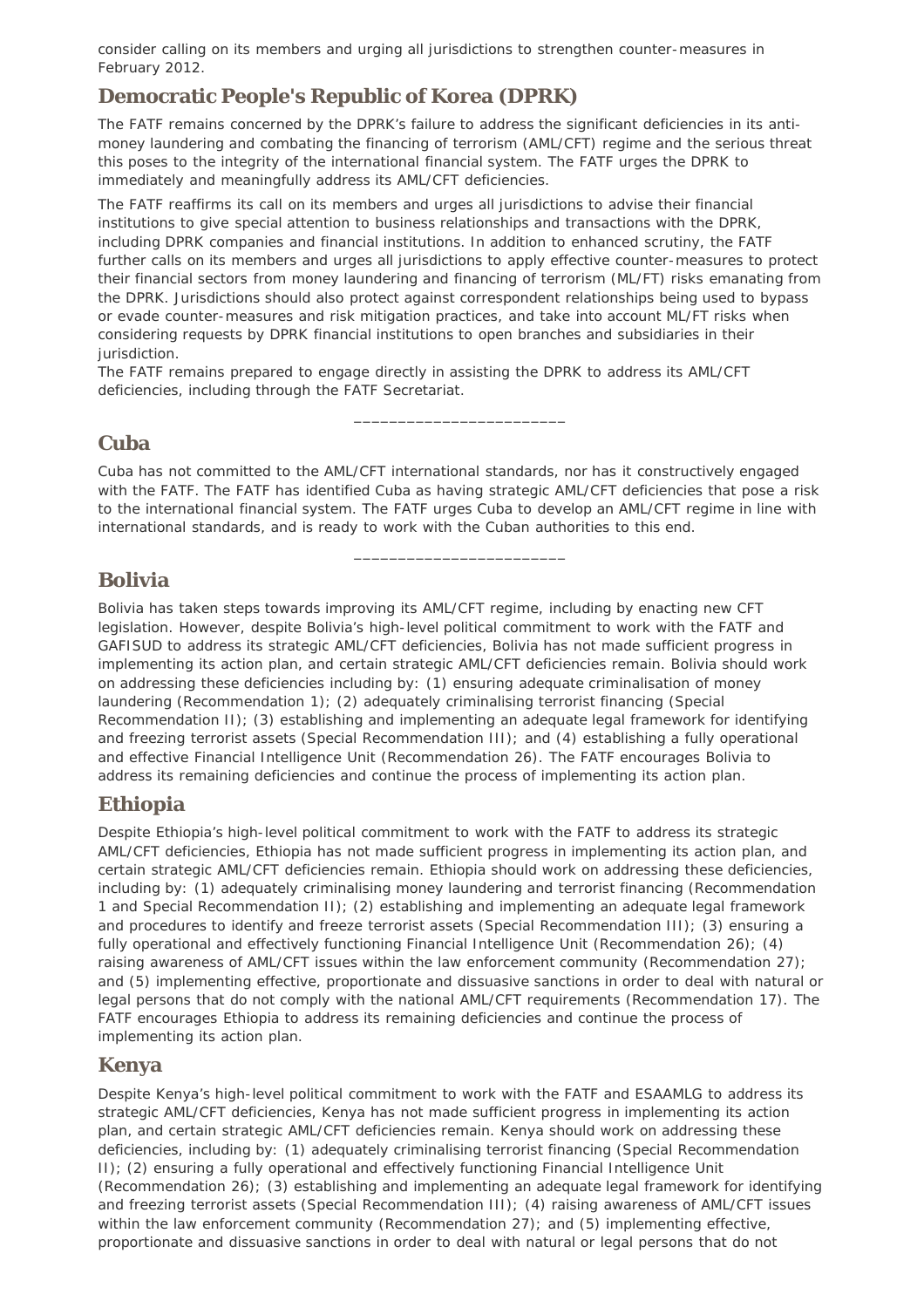consider calling on its members and urging all jurisdictions to strengthen counter-measures in February 2012.

## <span id="page-1-0"></span>**Democratic People's Republic of Korea (DPRK)**

The FATF remains concerned by the DPRK's failure to address the significant deficiencies in its antimoney laundering and combating the financing of terrorism (AML/CFT) regime and the serious threat this poses to the integrity of the international financial system. The FATF urges the DPRK to immediately and meaningfully address its AML/CFT deficiencies.

The FATF reaffirms its call on its members and urges all jurisdictions to advise their financial institutions to give special attention to business relationships and transactions with the DPRK, including DPRK companies and financial institutions. In addition to enhanced scrutiny, the FATF further calls on its members and urges all jurisdictions to apply effective counter-measures to protect their financial sectors from money laundering and financing of terrorism (ML/FT) risks emanating from the DPRK. Jurisdictions should also protect against correspondent relationships being used to bypass or evade counter-measures and risk mitigation practices, and take into account ML/FT risks when considering requests by DPRK financial institutions to open branches and subsidiaries in their jurisdiction.

The FATF remains prepared to engage directly in assisting the DPRK to address its AML/CFT deficiencies, including through the FATF Secretariat.

### <span id="page-1-1"></span>**Cuba**

Cuba has not committed to the AML/CFT international standards, nor has it constructively engaged with the FATF. The FATF has identified Cuba as having strategic AML/CFT deficiencies that pose a risk to the international financial system. The FATF urges Cuba to develop an AML/CFT regime in line with international standards, and is ready to work with the Cuban authorities to this end.

\_\_\_\_\_\_\_\_\_\_\_\_\_\_\_\_\_\_\_\_\_\_\_\_

\_\_\_\_\_\_\_\_\_\_\_\_\_\_\_\_\_\_\_\_\_\_\_\_

### <span id="page-1-2"></span>**Bolivia**

Bolivia has taken steps towards improving its AML/CFT regime, including by enacting new CFT legislation. However, despite Bolivia's high-level political commitment to work with the FATF and GAFISUD to address its strategic AML/CFT deficiencies, Bolivia has not made sufficient progress in implementing its action plan, and certain strategic AML/CFT deficiencies remain. Bolivia should work on addressing these deficiencies including by: (1) ensuring adequate criminalisation of money laundering (Recommendation 1); (2) adequately criminalising terrorist financing (Special Recommendation II); (3) establishing and implementing an adequate legal framework for identifying and freezing terrorist assets (Special Recommendation III); and (4) establishing a fully operational and effective Financial Intelligence Unit (Recommendation 26). The FATF encourages Bolivia to address its remaining deficiencies and continue the process of implementing its action plan.

### <span id="page-1-3"></span>**Ethiopia**

Despite Ethiopia's high-level political commitment to work with the FATF to address its strategic AML/CFT deficiencies, Ethiopia has not made sufficient progress in implementing its action plan, and certain strategic AML/CFT deficiencies remain. Ethiopia should work on addressing these deficiencies, including by: (1) adequately criminalising money laundering and terrorist financing (Recommendation 1 and Special Recommendation II); (2) establishing and implementing an adequate legal framework and procedures to identify and freeze terrorist assets (Special Recommendation III); (3) ensuring a fully operational and effectively functioning Financial Intelligence Unit (Recommendation 26); (4) raising awareness of AML/CFT issues within the law enforcement community (Recommendation 27); and (5) implementing effective, proportionate and dissuasive sanctions in order to deal with natural or legal persons that do not comply with the national AML/CFT requirements (Recommendation 17). The FATF encourages Ethiopia to address its remaining deficiencies and continue the process of implementing its action plan.

### <span id="page-1-4"></span>**Kenya**

Despite Kenya's high-level political commitment to work with the FATF and ESAAMLG to address its strategic AML/CFT deficiencies, Kenya has not made sufficient progress in implementing its action plan, and certain strategic AML/CFT deficiencies remain. Kenya should work on addressing these deficiencies, including by: (1) adequately criminalising terrorist financing (Special Recommendation II); (2) ensuring a fully operational and effectively functioning Financial Intelligence Unit (Recommendation 26); (3) establishing and implementing an adequate legal framework for identifying and freezing terrorist assets (Special Recommendation III); (4) raising awareness of AML/CFT issues within the law enforcement community (Recommendation 27); and (5) implementing effective, proportionate and dissuasive sanctions in order to deal with natural or legal persons that do not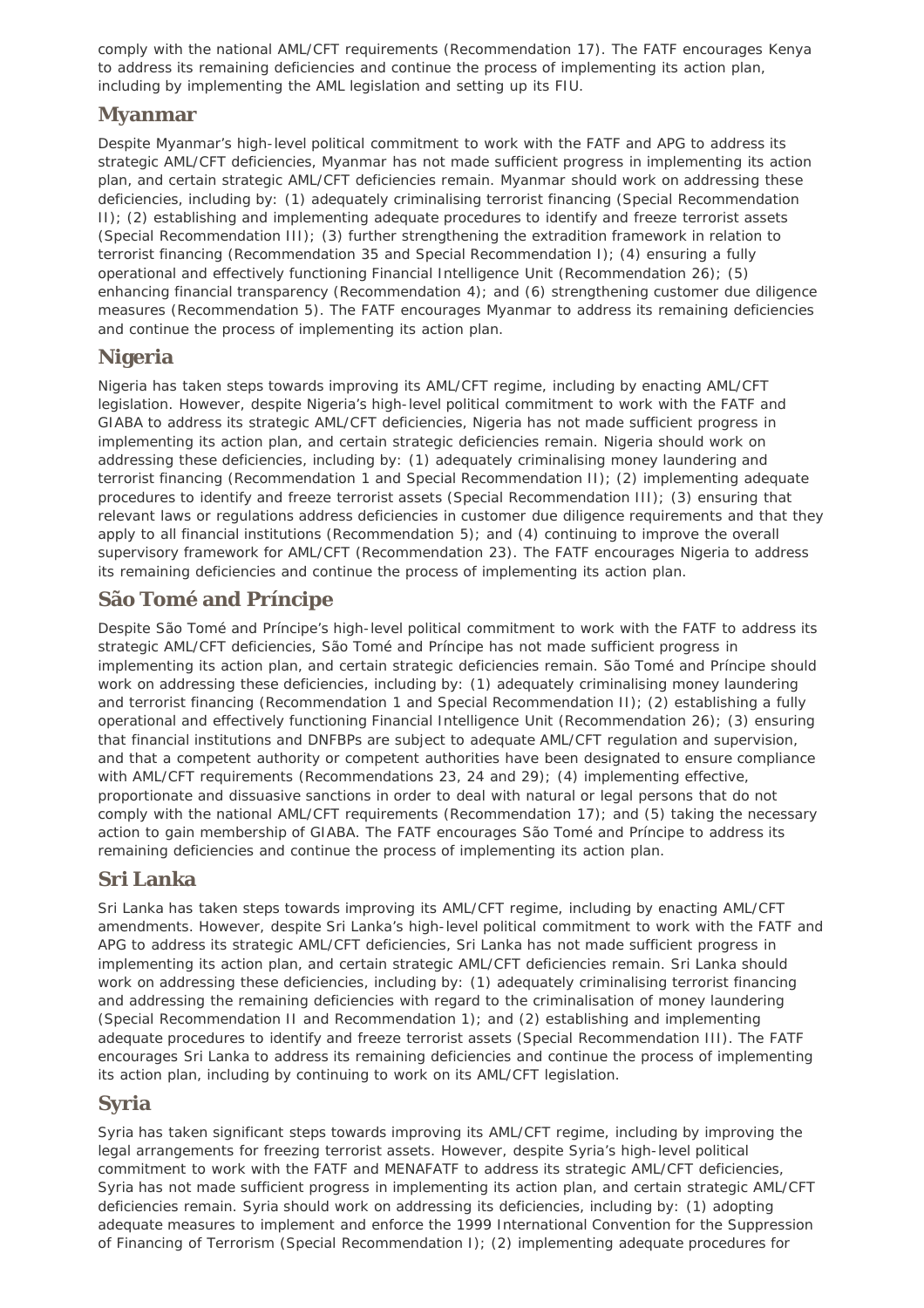comply with the national AML/CFT requirements (Recommendation 17). The FATF encourages Kenya to address its remaining deficiencies and continue the process of implementing its action plan, including by implementing the AML legislation and setting up its FIU.

### <span id="page-2-0"></span>**Myanmar**

Despite Myanmar's high-level political commitment to work with the FATF and APG to address its strategic AML/CFT deficiencies, Myanmar has not made sufficient progress in implementing its action plan, and certain strategic AML/CFT deficiencies remain. Myanmar should work on addressing these deficiencies, including by: (1) adequately criminalising terrorist financing (Special Recommendation II); (2) establishing and implementing adequate procedures to identify and freeze terrorist assets (Special Recommendation III); (3) further strengthening the extradition framework in relation to terrorist financing (Recommendation 35 and Special Recommendation I); (4) ensuring a fully operational and effectively functioning Financial Intelligence Unit (Recommendation 26); (5) enhancing financial transparency (Recommendation 4); and (6) strengthening customer due diligence measures (Recommendation 5). The FATF encourages Myanmar to address its remaining deficiencies and continue the process of implementing its action plan.

### <span id="page-2-1"></span>**Nigeria**

Nigeria has taken steps towards improving its AML/CFT regime, including by enacting AML/CFT legislation. However, despite Nigeria's high-level political commitment to work with the FATF and GIABA to address its strategic AML/CFT deficiencies, Nigeria has not made sufficient progress in implementing its action plan, and certain strategic deficiencies remain. Nigeria should work on addressing these deficiencies, including by: (1) adequately criminalising money laundering and terrorist financing (Recommendation 1 and Special Recommendation II); (2) implementing adequate procedures to identify and freeze terrorist assets (Special Recommendation III); (3) ensuring that relevant laws or regulations address deficiencies in customer due diligence requirements and that they apply to all financial institutions (Recommendation 5); and (4) continuing to improve the overall supervisory framework for AML/CFT (Recommendation 23). The FATF encourages Nigeria to address its remaining deficiencies and continue the process of implementing its action plan.

## <span id="page-2-2"></span>**São Tomé and Príncipe**

Despite São Tomé and Príncipe's high-level political commitment to work with the FATF to address its strategic AML/CFT deficiencies, São Tomé and Príncipe has not made sufficient progress in implementing its action plan, and certain strategic deficiencies remain. São Tomé and Príncipe should work on addressing these deficiencies, including by: (1) adequately criminalising money laundering and terrorist financing (Recommendation 1 and Special Recommendation II); (2) establishing a fully operational and effectively functioning Financial Intelligence Unit (Recommendation 26); (3) ensuring that financial institutions and DNFBPs are subject to adequate AML/CFT regulation and supervision, and that a competent authority or competent authorities have been designated to ensure compliance with AML/CFT requirements (Recommendations 23, 24 and 29); (4) implementing effective, proportionate and dissuasive sanctions in order to deal with natural or legal persons that do not comply with the national AML/CFT requirements (Recommendation 17); and (5) taking the necessary action to gain membership of GIABA. The FATF encourages São Tomé and Príncipe to address its remaining deficiencies and continue the process of implementing its action plan.

## <span id="page-2-3"></span>**Sri Lanka**

Sri Lanka has taken steps towards improving its AML/CFT regime, including by enacting AML/CFT amendments. However, despite Sri Lanka's high-level political commitment to work with the FATF and APG to address its strategic AML/CFT deficiencies, Sri Lanka has not made sufficient progress in implementing its action plan, and certain strategic AML/CFT deficiencies remain. Sri Lanka should work on addressing these deficiencies, including by: (1) adequately criminalising terrorist financing and addressing the remaining deficiencies with regard to the criminalisation of money laundering (Special Recommendation II and Recommendation 1); and (2) establishing and implementing adequate procedures to identify and freeze terrorist assets (Special Recommendation III). The FATF encourages Sri Lanka to address its remaining deficiencies and continue the process of implementing its action plan, including by continuing to work on its AML/CFT legislation.

### <span id="page-2-4"></span>**Syria**

Syria has taken significant steps towards improving its AML/CFT regime, including by improving the legal arrangements for freezing terrorist assets. However, despite Syria's high-level political commitment to work with the FATF and MENAFATF to address its strategic AML/CFT deficiencies, Syria has not made sufficient progress in implementing its action plan, and certain strategic AML/CFT deficiencies remain. Syria should work on addressing its deficiencies, including by: (1) adopting adequate measures to implement and enforce the 1999 International Convention for the Suppression of Financing of Terrorism (Special Recommendation I); (2) implementing adequate procedures for